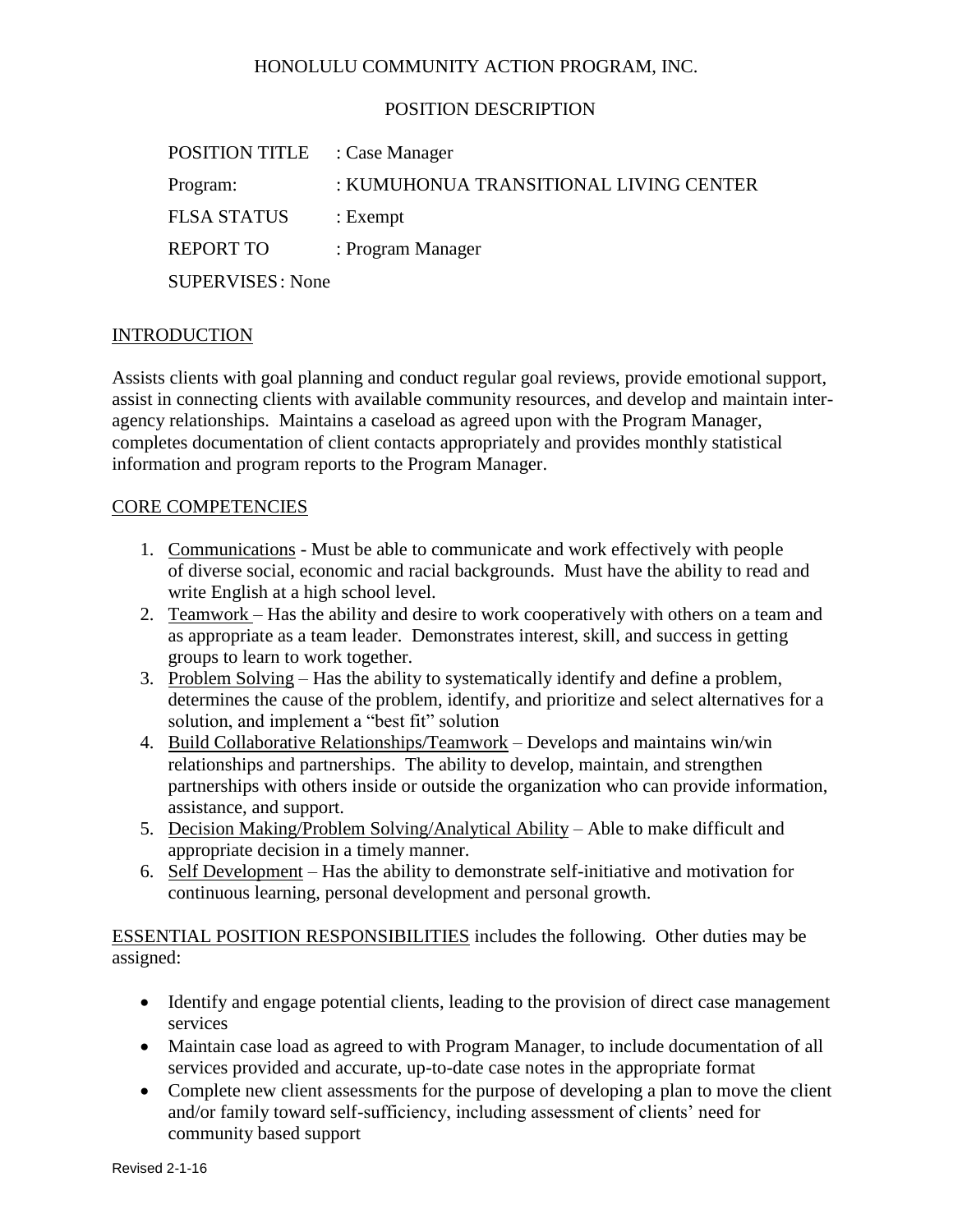#### HONOLULU COMMUNITY ACTION PROGRAM, INC.

#### POSITION DESCRIPTION

| <b>POSITION TITLE</b> : Case Manager |                                        |
|--------------------------------------|----------------------------------------|
| Program:                             | : KUMUHONUA TRANSITIONAL LIVING CENTER |
| <b>FLSA STATUS</b>                   | $:$ Exempt                             |
| <b>REPORT TO</b>                     | : Program Manager                      |
| <b>SUPERVISES: None</b>              |                                        |

#### INTRODUCTION

Assists clients with goal planning and conduct regular goal reviews, provide emotional support, assist in connecting clients with available community resources, and develop and maintain interagency relationships. Maintains a caseload as agreed upon with the Program Manager, completes documentation of client contacts appropriately and provides monthly statistical information and program reports to the Program Manager.

#### CORE COMPETENCIES

- 1. Communications Must be able to communicate and work effectively with people of diverse social, economic and racial backgrounds. Must have the ability to read and write English at a high school level.
- 2. Teamwork Has the ability and desire to work cooperatively with others on a team and as appropriate as a team leader. Demonstrates interest, skill, and success in getting groups to learn to work together.
- 3. Problem Solving Has the ability to systematically identify and define a problem, determines the cause of the problem, identify, and prioritize and select alternatives for a solution, and implement a "best fit" solution
- 4. Build Collaborative Relationships/Teamwork Develops and maintains win/win relationships and partnerships. The ability to develop, maintain, and strengthen partnerships with others inside or outside the organization who can provide information, assistance, and support.
- 5. Decision Making/Problem Solving/Analytical Ability Able to make difficult and appropriate decision in a timely manner.
- 6. Self Development Has the ability to demonstrate self-initiative and motivation for continuous learning, personal development and personal growth.

ESSENTIAL POSITION RESPONSIBILITIES includes the following. Other duties may be assigned:

- Identify and engage potential clients, leading to the provision of direct case management services
- Maintain case load as agreed to with Program Manager, to include documentation of all services provided and accurate, up-to-date case notes in the appropriate format
- Complete new client assessments for the purpose of developing a plan to move the client and/or family toward self-sufficiency, including assessment of clients' need for community based support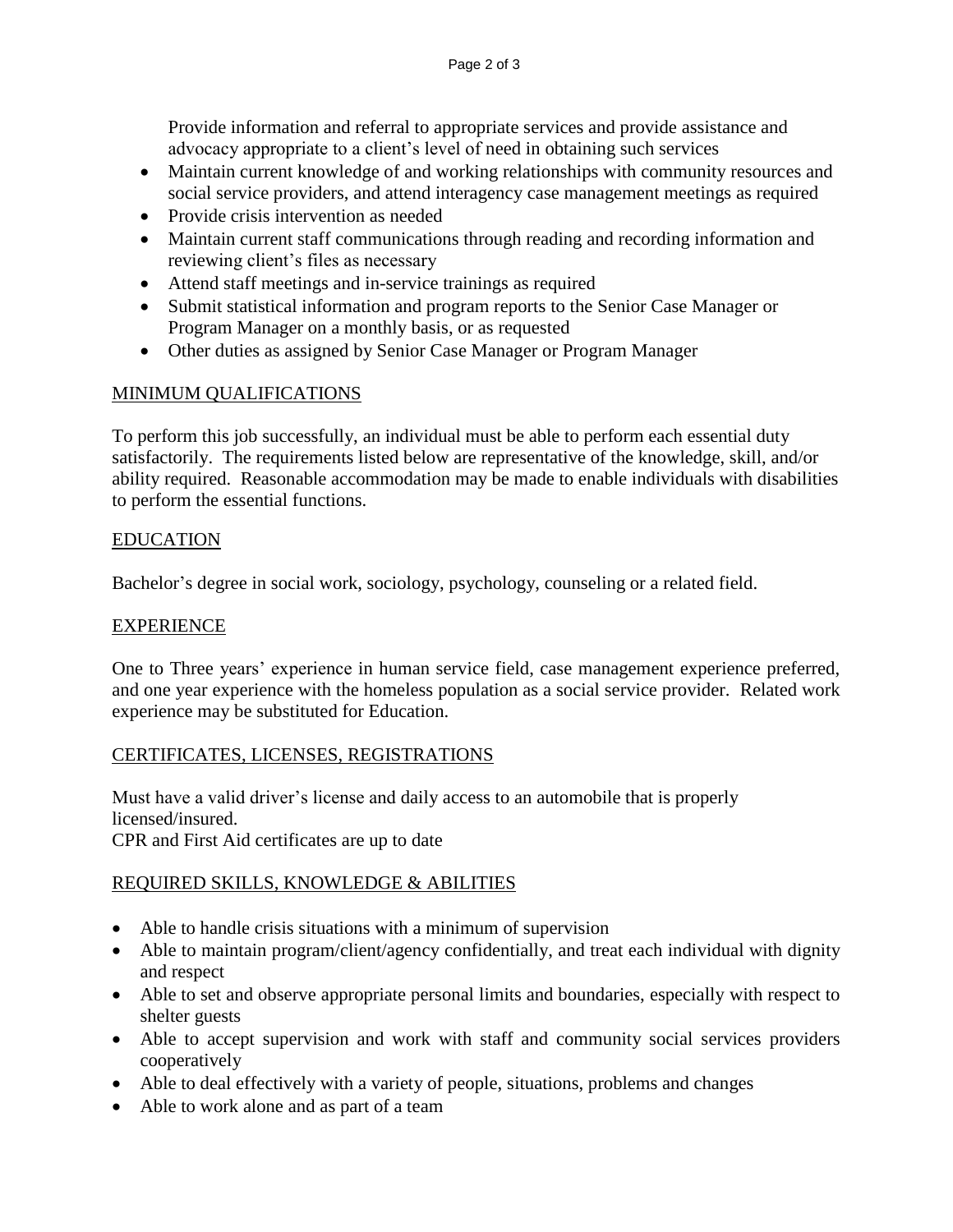Provide information and referral to appropriate services and provide assistance and advocacy appropriate to a client's level of need in obtaining such services

- Maintain current knowledge of and working relationships with community resources and social service providers, and attend interagency case management meetings as required
- Provide crisis intervention as needed
- Maintain current staff communications through reading and recording information and reviewing client's files as necessary
- Attend staff meetings and in-service trainings as required
- Submit statistical information and program reports to the Senior Case Manager or Program Manager on a monthly basis, or as requested
- Other duties as assigned by Senior Case Manager or Program Manager

# MINIMUM QUALIFICATIONS

To perform this job successfully, an individual must be able to perform each essential duty satisfactorily. The requirements listed below are representative of the knowledge, skill, and/or ability required. Reasonable accommodation may be made to enable individuals with disabilities to perform the essential functions.

## EDUCATION

Bachelor's degree in social work, sociology, psychology, counseling or a related field.

## EXPERIENCE

One to Three years' experience in human service field, case management experience preferred, and one year experience with the homeless population as a social service provider. Related work experience may be substituted for Education.

## CERTIFICATES, LICENSES, REGISTRATIONS

Must have a valid driver's license and daily access to an automobile that is properly licensed/insured. CPR and First Aid certificates are up to date

## REQUIRED SKILLS, KNOWLEDGE & ABILITIES

- Able to handle crisis situations with a minimum of supervision
- Able to maintain program/client/agency confidentially, and treat each individual with dignity and respect
- Able to set and observe appropriate personal limits and boundaries, especially with respect to shelter guests
- Able to accept supervision and work with staff and community social services providers cooperatively
- Able to deal effectively with a variety of people, situations, problems and changes
- Able to work alone and as part of a team